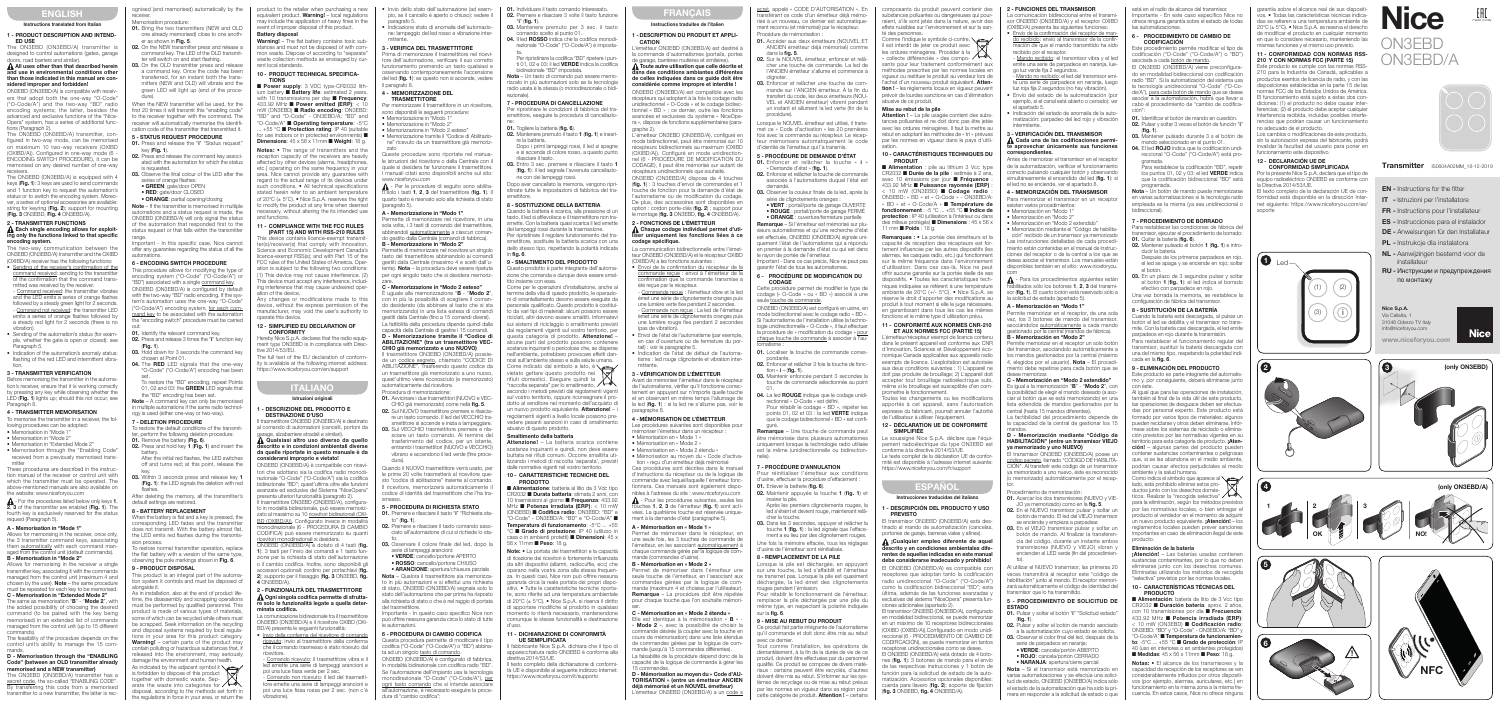EN - Instructions for the fitter IT - Istruzioni per l'installatore FR - Instructions pour l'installateur ES - Instrucciones para el instalador DE - Anweisungen für den Installateur **PL** - Instrukcie dla instalatora NL - Aanwijzingen bestemd voor de

**Nice** 

installateur

RU - Инструкции и предупреждения

(only ON3EBD)

**Nice** 

(only ON3EBD/A)

по монтажу

# ENGLISH

#### rs, road barriers and similar A All uses other than that described herein nd use in environmental conditions other than those indicated in this manual are con-

#### Instructions translated from Italian

#### 1 - PRODUCT DESCRIPTION AND INTEND-ED USE

The ON3EBD (ON3EBD/A) transmitter is designed to control automations (gates, garage

sidered improper and forbidde ON3EBD (ON3EBD/A) is compatible with receivers that adopt both the one-way "O-Code" ("O-Code/A") and the two-way "BD" radio encoding systems; the latter hesides the advanced and exclusive functions of the "Nice-Opera" system, has a series of additional func-

#### $\Lambda$  Each single encoding allows for exploiting only the functions linked to that specific encoding system.

• Sending of the receiver's confirmation of the command received: sending to the transmitte of the confirmation that the command transmitted was received by the receiver. Command received: the transmitter vibrates

tions (Paragraph 2). The ON3EBD (ON3EBD/A) transmitter, configured in two-way mode, can be memorised on maximum 10 two-way receivers (OXIBD (OXIBD/A)). Configured in one-way mode (6 - ENCODING SWITCH PROCEDURE), it can be memorised on any desired number of one-way

- Sending of the automation's status (for example, whether the gate is open or closed): see Paragraph 5.
- Indication of the automation's anomaly status: flashing of the red LED and intermittent vibra-

receivers. The ON3EBD (ON3EBD/A) is equipped with 4 keys (Fig. 1): 3 keys are used to send commands and 1 function key to request the automation's status or to switch the encoding system. Moreover, a series of optional access string for keyring (Fig. 2): support for mounting (Fig. 3 ON3EBD, Fig. 4 ON3EBD/A).

memorise the transmitter in a receiver, the following procedures can be adopted:

# 2 - TRANSMITTER FUNCTIONS

 $\blacktriangle$  - For the procedures listed below only keys 1, 2, 3 of the transmitter are enabled (Fig. 1). The fourth key is exclusively reserved for the status request (Paragraph 5).

The two-way communication between the ON3EBD (ON3EBD/A) transmitter and the OXIBD (OXIBD/A) receiver has the following functions:

Allows for memorising in the receiver a single transmitter key, associating it with the commands managed from the control unit (maximum 4 and chosen by the user). Note – the same procedure ust be repeated for each key to be

and the LED emits a series of orange flashes followed by a steady green light for  $2$  seconds. - Command not received: the transmitter LED emits a series of orange flashes followed by a steady red light for  $\tilde{2}$  seconds (there is no vibration).

The ON3EBD (ON3EBD/A) transmitter has secret code, the so-called "ENABLING CODE" By transferring this code from a memorised transmitter to a new transmitter, the latter is rec-

ognised (and memorised) automatically by the receiver. Memorisation procedure: 01. Bring the two transmitters (NEW and OLD

one already memorised) close to one another as shown in Fig. 5. 02. On the NEW transmitter press and release a

#### tion. 3 - TRANSMITTER VERIFICATION

03. On the OLD transmitter press and release a command key. Once the code has been transferred, for an instant both the transmitters (NEW and OLD) will vibrate and the green LED will light up (end of the procedure).

Before memorising the transmitter in the automation's receiver, ensure that it is working correct by pressing any key while observing whether the LED (Fig. 1) lights up; should this not occur, see Paragraph 8.

### 4 - TRANSMITTER MEMORISATION

- Memorisation in "Mode 1"
- Memorisation in "Mode 2"
- Memorisation in "Extended Mode 2"

• Memorisation through the "Enabling Code received from a previously memorised transmitter

These procedures are described in the instruction manual of the receiver or control unit with which the transmitter must be operated. The above-mentioned manuals are also available on the website: www.niceforyou.com

### A - Memorisation in "Mode 1"

Allows for memorising in the receiver, once only, the 3 transmitter command keys, associating them automatically with each command ma aged from the control unit (default commands). B - Memorisation in "Mode 2"

restore the default conditions of the transmit ter, perform the following deletion procedure:

Remove the battery (Fig. 02. Press and hold key 1 (Fig. 1) and insert the

When the battery is flat and a key is pressed, the corresponding LED fades and the transmitter loes not transmit. With the battery almost flat the LED emits red flashes during the transmision process To restore normal transmitter operation, replace

the flat battery with a version of the same type, oserving the pole markings shown in Fig. 6.

This product is an integral part of the automation system it controls and must be disposed of alongside it.

C - Memorisation in "Extended Mode 2" The same as memorisation "**B**" - "**Mode 2**", with he added possibility of choos command (to be paired with the key being memorised) in an extended list of commands managed from the control unit (up to 15 different commands).

The feasibility of the procedure depends on the control unit's ability to manage the 15 com-

### mands. D - Memorisation through the "ENABLING Code" (between an OLD transmitter already memorised and a NEW transmitter)

is in installation, also at the end of product life time, the disassembly and scrapping operations must be performed by qualified personnel. The product is made of various types of materials, some of which can be recycled while others must be scrapped. Seek information on the recycling and disposal systems required by local regulations in your area for this product category. Warning! - certain parts of the product may contain polluting or hazardous substances that, if sed into the environment, may seriously damage the environment and human health. As indicated by the adjacent symbol it is forbidden to dispose of this product together with domestic waste. Sep-arate the waste into categories for disposal, according to the methods set forth in the regulations in force in your area, or return the

Warning! – The flat battery contains toxic substances and must not be disposed of with common waste. Dispose of according to "separate" waste collection methods as envisaged by current local standards. 10 - PRODUCT TECHNICAL SPECIFICA-

command key. The LED of the OLD transmitter will switch on and start flashing.

> Notes: • The range of transmitters and the reception capacity of the receivers are heavily affected by other devices (alarms, headphone; tc.) operating on the same frequency in you area. Nice cannot provide any guarantee with regard to the actual range of its devices unde such conditions. • All technical specifications n refer to an ambient temperatur of  $20^{\circ}$ C (+  $5^{\circ}$ C). • Nice S.p.A. reserves the right to modify the product at any time when deemed necessary, without altering the its intended use and functions.

When the NEW transmitter will be used, for the first and the transmit this "enabling code" to the receiver together with the command. The receiver will automatically memorise the identification code of the transmitter that transmitted it.

### 5 - STATUS REQUEST PROCEDURE

01. Press and release the "i" "Status request key (Fig. 1) 02. Press and release the command key associ

> his device contains licence-exempt transm er(s)/receiver(s) that comply with Innovation Science and Economic Development Canada's licence-exempt RSS(s); and with Part 15 of the FCC rules of the United States of America. Operation is subject to the following two conditions: (1) This device may not cause interference. (2) This device must accept any interference, including interference that may cause undesired operation of the device.

Any changes or modifications made to this device, without the express permission of the manufacturer, may void the user's authority to operate this device.

#### 12 - SIMPLIFIED EU DECLARATION OF **CONFORMITY**

### ated with the automation for which the status is requested.

03. Observe the final colour of the LED after the series of orange flashes • GREEN: gate/door OPEN

- **RED:** gate/door CLOSED
- **ORANGE**: partial opening/closing

#### - DESCRIZIONE DEL PRODOTTO E DESTINAZIONE D'USO

trasmettitore ON3EBD (ON3EBD/A) è destinato al comando di automazioni (cancelli, portoni da arage, alzabarriere stradali e similari). Qualsiasi altro uso diverso da quello descritto e in condizioni ambientali diverse

Note – If the transmitter is memorised in multiple automations and a status request is made, the ON3EBD (ON3EBD/A) will only signal the status of the automation that responded first to the status request or that falls within the transmitter

> tori che adottano sia la codifica radio monodi rezionale "O-Code" ("O-Code/A") sia la codifica bidirezionale "BD"; quest'ultima oltre alle funzion avanzate ed esclusive del Sistema "NiceOpera" presenta ulteriori funzionalità (paragrafo 2).

range. Important - In this specific case, Nice cannot offer any guarantee regarding the status of all the automations.

### 6 - ENCODING SWITCH PROCEDURE

I trasmettitore ON3EBD (ON3EBD/A), configura o in modalità bidirezionale, può essere memori zato al massimo su 10 ricevitori bidirezionali (OXI-BD (OXIBD/A)). Configurato invece in modalit monodirezionale (6 - PROCEDURA DI CAMBIO CODIFICA) può essere memorizzato su quanti ricevitori monodirezionali si desidera.

This procedure allows for modifying the type of encoding system ("O-Code" ("O-Code/A") or "BD") associated with a single command key. ON3EBD (ON3EBD/A) is configured by default with the two-way "BD" radio encoding. If the sysem's automation uses the one-wav "O-Code "O-Code/A") encoding system, for each com mand key to be associated with the automation the "encoding switch" procedure must be carried out:

01. Identify the relevant command key

02. Press and release 3 times the "i" function key (Fig. 1).<br>**03.** Hold down for 3 seconds the command key

sen at Point 01 04. The RED LED signals that the one-way

- Invio della conferma del ricevitore di comand ricevuto: invio al trasmettitore della conferm che il comando trasmesso è stato ricevuto dal ricevitore.
- Comando ricevuto: il trasmettitore vibra e led emette una serie di lampeggi arancioni e poi una luce fissa verde per 2 sec.

Comando non ricevuto: il led del trasmett tore emette una serie di lampeggi arancioni e poi una luce fissa rossa per 2 sec. (non c'è vibrazione).

"O-Code" ("O-Code/A") encoding has been

3 - VERIFICA DEL TRASMETTITORE Prima di memorizzare il trasmettitore nel rice tore dell'automazione, verificare il suo corretto funzionamento premendo un tasto qualsiasi e osservando contemporaneamente l'accensione del led (fig. 1): se questo non si accende, vedere

set. To restore the "BD" encoding, repeat Points 01, 02 and 03: the GREEN LED signals that the "BD" encoding has been set.

Note – A command key can only be memorise multiple automations if the same radio technolony is used (either one-way or two-way).

### 7 - DELETION PROCEDURE

memorizzare il trasmettitore in un ricevitore sono disponibili le seguenti procedure: • Memorizzazione in "Modo 1" • Memorizzazione in "Modo 2" • Memorizzazione in "Modo 2 esteso" • Memorizzazione tramite il "Codice di Abilitazio ne" ricevuto da un trasmettitore già memorizzato Queste procedure sono riportate nel manuale istruzioni del ricevitore o della Centrale con il quale si desidera far funzionare il trasmettitore. I manuali citati sono disponibili anche sul sito:

battery. After the initial red flashes, the LED switches off and turns red; at this point, release the  $\Lambda$  - Per le procedure di seguito sono abilitasolo i tasti 1, 2, 3 del trasmettitore (fig. 1). quarto tasto è riservato solo alla richiesta di stato

Permette di memorizzare nel ricevitore, in una sola volta, i 3 tasti di comando del trasmettitore abbinandoli automaticamente a ciascun comar do gestito dalla Centrale (comandi di fabbrica). B - Memorizzazione in "Modo 2" Permette di memorizzare nel ricevitore un singolo tasto del trasmettitore abbinandolo ai comandi gestiti dalla Centrale (massimo 4 e scelti dall'utente). Nota – la procedura deve essere ripetuta per ogni singolo tasto che si desidera memorizzare. C - Memorizzazione in "Modo 2 esteso" È uguale alla memorizzazione "B - "Modo 2", con in più la possibilità di scegliere il comano desiderato (da abbinare al tasto che si s memorizzando) in una lista estesa di comandi gestiti dalla Centrale (fino a 15 comandi diversi). La fattibilità della procedura dipende quindi dalla apacità della Centrale di gestire i 15 D - Memorizzazione tramite il "Codice di ABILITAZIONE" (tra un trasmettitore VEC-CHIO già memorizzato e uno NUOVO) trasmettitore ON3EBD (ON3EBD/A) poss e un <u>codice segreto</u>, chiamato "CODICE I ABILITAZIONE". Trasferendo questo codice da un trasmettitore già memorizzato a uno nuovo, uest'ultimo viene riconosciuto (e memorizzat

key. 03. Within 3 seconds press and release key 1 (Fig. 1): the LED signals the deletion with red flashes.

After deleting the memory, all the transmitter's default settings are restored.

### 8 - BATTERY REPLACEMENT

### 9 - PRODUCT DISPOSAL

01. Avvicinare i due trasmettitori (NUOVO e VEC CHIO già memorizzato) come nella fig. 5. 02. Sul NUOVO trasmettitore premere e rilasciare un tasto comando. Il led del VECCHIO tramettitore si accende e inizia a lampeggiar 03. Sul VECCHIO trasmettitore premere e rila sciare un tasto comando. Al termine de trasferimento del codice, per un istant entrambi i trasmettitori (NUOVO e VECCHIO) vibrano e accendono il led verde (fine proce-

5 - PROCEDURA DI RICHIESTA STATO 01. Premere e rilasciare il tasto "i" "Richiesta sta-

02. Premere e rilasciare il tasto comando associato all'automazione di cui si richiede lo stato. 03. Osservare il colore finale del led, dopo la

Importante - In questo caso specifico Nice non o<br>Apuntifica di tutte di tutte di circa lo stato di tutte

product to the retailer when purchasing a new equivalent product. Warning! – local regulations may include the application of heavy fines in the event of improper disposal of this product.

- .<br>Indicazione stato di anomalia dell'automazio 02. Premere e rilasciare 3 volte il tasto funzione "i" (fig. 1).
	- 03. Mantenere premuto per 3 sec. il tasto comando scelto al punto 01.

### Battery disposal

Per ripristinare la codifica "BD" ripetere i pu ti 01, 02 e 03: il led **VERDE** indica la codifica bidirezionale "BD" impostata.

# TIONS

■ Power supply: 3 VDC type-CR2032 lithium battery ■ Battery life: estimated 2 years sions per day ■ Frequency 433.92 MHz ■ Power emitted (ERP): < 10 mW (ON3EBD) ■ Radio encoding: ON3EBD "BD" and "O-Code" - ON3EBD/A: "BD" and <u>D</u>-Code/A" ■ Operating temperature: -5° +55 °C ■ Protection rating: IP 40 (suitable for use indoors or in protected environments) ■ Dimensions:  $45 \times 56 \times 11$ mm ■ Weight: 18 g.

> 8 - SOSTITUZIONE DELLA BATTERIA Quando la batteria è scarica, alla pressione di un tasto, il led si affievolisce e il trasmettitore non tranette. Con la batteria quasi scarica il led emette dei lampeggi rossi durante la trasmissione. Per ripristinare il regolare funzionamento del trasmettitore, sostituire la batteria scarica con una dello stesso tipo, rispettando la polarità indicata

#### 11 - COMPLIANCE WITH THE FCC RULES (PART 15) AND WITH RSS-210 RULES

me per le operazioni d'installazione, anche a termine della vita di questo prodotto, le operazioni di smantellamento devono essere eseguite da rsonale qualificato. Questo prodotto è costitu to da vari tipi di materiali: alcuni possono essere iciclati, altri devono essere smaltiti. Informatev sui sistemi di riciclaggio o smaltimento previsti dai regolamenti vigenti sul vostro territorio, pe questa categoria di prodotto. Attenzione! alcune parti del prodotto possono contenere sostanze inquinanti o pericolose che, se disperse nell'ambiente, potrebbero provocare effetti dan<br>nosi sull'ambiente stesso e sulla salute umana. nosi sull'ambiente stesso e sulla salute umana.<br>Come indicato dal simbolo a lato, è<br>vietato gettare questo prodotto nei rifiuti domestici. Eseguire quindi la "raccolta separata" per lo smaltimento, secondo i metodi previsti dai regolamenti vigenti ul vostro territorio, oppure riconsegnare il prodotto al venditore nel momento dell'acquisto di nuovo prodotto equivalente. Attenzione! regolamenti vigenti a livello locale possono prevedere pesanti sanzioni in caso di smaltimento

02. Mantenere premuto il tasto 1 (fig. 1) e inserire la batteria. Dopo i primi lampeggi rossi, il led si spegne

e si accende di colore rosso, a questo punt

03. Entro 3 sec. premere e rilasciare il tasto 1 (fig. 1): il led segnala l'avvenuta cancellazio-

Attenzione! - La batteria scarica contiene sostanze inquinanti e quindi, non deve essere buttata nei rifiuti comuni. Occorre smaltirla utiizzando i metodi di raccolta 'separata', previst dalle normative vigenti nel vostro territorio. 10 - CARATTERISTICHE TECNICHE DEL

■ Alimentazione: batteria al litio da 3 Vdc tinc CR2032 ■ Durata batteria: stimata 2 anni, co 0 trasmissioni al giorno ■ Frequenza: 433.92 MHz ■ Potenza irradiata (ERP): < 10 mW (ON3EBD) ■ Codifica radio: ON3EBD: "BD" e "O-Code" - ON3EBD/A: "BD" e "O-Code/A" ■ Temperatura di funzionamento: -5°C ... +55 °C ■ Grado di protezione: IP 40 (utilizzo in casa o in ambienti protetti) ■ Dimensioni: 45 x

Hereby Nice S.p.A. declares that the radio equipment type ON3EBD is in compliance with Directive 2014/53/EU. The full text of the EU declaration of conform-

> I fabbricante Nice S.p.A. dichiara che il tipo di apparecchiatura radio ON3EBD è conforme alla

testo completo della dichiarazione di conform tà UE è disponibile al seguente indirizzo Internet: https://www.niceforyou.com/it/supporto

FRANÇAIS Instructions traduites de l'italien - DESCRIPTION DU PRODUIT ET APPLI-

ity is available at the following internet address: https://www.niceforyou.com/en/support

L'émetteur ON3EBD (ON3EBD/A) est destiné à commande d'automatismes (portails, portes de garage, barrières routières et similaires).  $\Lambda$  Toute autre utilisation que celle décrite et <u>i</u>ns des conditions ambiantes différe de celles indiquées dans ce guide doit être considérée comme impropre et interdite ! ON3EBD (ON3EBD/A) est compatible avec les récepteurs qui adoptent à la fois le codage radio unidirectionnel « O-Code » et le codage bidirectionnel « BD » ; ce dernier, outre les fonctions avancées et exclusives du système « NiceOpera », dispose de fonctions supplémentaires (paragraphe 2). L'émetteur ON3EBD (ON3EBD/A), configuré en mode bidirectionnel, peut être mémorisé sur 1 récepteurs bidirectionnels au maximum (OXIBD (OXIBD/A)). Configuré en mode unidirectionnel (6 - PROCÉDURE DE MODIFICATION DU CODAGE), il peut être mémorisé sur autant de cepteurs unidirectionnels que souhaité. ON3EBD (ON3EBD/A) dispose de 4 touches (fig. 1) : 3 touches d'envoi de commandes et 1 uche de fonction pour la demande d'état de l'automatisme ou de modification du codage. De plus, des accessoires sont disponibles en option : cordon porte-clés (**fig. 2**) ; support pour<br>le montage (**fig. 3** ON3EBD, **fig. 4** ON3EBD/A).

### ITALIANO

### Istruzioni originali

### da quelle riportate in questo manuale è da considerarsi improprio e vietato! ON3EBD (ON3EBD/A) è compatibile con ricevi-

2 - FONCTIONS DE L'ÉMETTEUR  $\boldsymbol{\Lambda}$  Chaque codage individuel permet d'uti-

été recue par le récepteur.

tail) : voir le paragraphe 5.

Commande recue : l'émetteur vibre et la leg émet une série de clignotements oranges puis une lumière verte fixe pendant 2 secondes. - Commande non reçue : La led de l'émetteur émet une série de clignotements oranges puis une lumière rouge fixe pendant 2 secondes

• Envoi de l'état de l'automatisme (par exemple, en cas d'ouverture ou de fermeture du poi

3 - VÉRIFICATION DE L'ÉMETTEUR Avant de mémoriser l'émetteur dans le récepteur le l'automatisme, vérifier qu'il fonctionne corre tement en appuyant sur n'importe quelle touche et en observant en même temps l'allumage de la led (fig. 1) : si la led ne s'allume pas, voir le

ON3EBD (ON3EBD/A) è dotato di 4 tasti (fig. 1): 3 tasti per l'invio dei comandi e 1 tasto funzione per la richiesta di stato dell'automazione o il cambio codifica. Inoltre, sono disponibili gli ccessori opzionali: cordino per 2): supporto per il fissaggio (fig. 3 ON3EBD, fig. 4 ON3EBD/A).

4 - MÉMORISATION DE L'ÉMETTEUR Les procédures suivantes sont disponibles pour mémoriser l'émetteur dans un récepteur : Mémorisation en « Mode 1 • Mémorisation en « Mode 2 » • Mémorisation en « Mode 2 étendu » • Mémorisation au moyen du « Code d'activation » reçu d'un émetteur déjà mémorisé Ces procédures sont décrites dans le manuel d'instructions du récepteur ou de la logique de mmande avec lequel/laquelle l'émetteur fonc ionnera. Ces manuels sont également dispo nibles à l'adresse du site : www.niceforyou.com  $\Lambda$  - Pour les procédures suivantes, seules les hes 1, 2, 3 de l'émetteur (fig. 1) sont activées. La quatrième touche est réservée uniquement à la demande d'état (paragraphe 5). A - Mémorisation en « Mode 1 » Permet de mémoriser dans le récepteur, en une seule fois, les 3 touches de commande d l'émetteur, en les associant automatiquement à haque commande gérée par la logique de con

#### 2 - FUNZIONALITÀ DEL TRASMETTITORE  $\Lambda$  Ogni singola codifica permette di sfrutta re solo le funzionalità legate a quella determinata codifica.

La comunicazione bidirezionale tra il trasmettitore ON3EBD (ON3EBD/A) e il ricevitore OXIBD (OXI-BD/A) presenta le seguenti funzionalità:

entique à la mémorisation « **B** » « **Mode 2** », avec la possibilité de choisir la imande désirée (à coupler avec la touche en cours de mémorisation) dans une liste étendue le commandes gérées par la logique de comnande (jusqu'à 15 commandes différ La faisabilité de la procédure dépend donc de la capacité de la logique de commande à gérer les

orisation au moven du « Code d'AU-TORISATION » (entre un émetteur ANCIEN déjà mémorisé et un NOUVEL émetteur) metteur ON3EBD (ON3EBD/A) a un code s www.niceforyou.com

Nice S.p.A. Via Callalta, 1 31046 Oderzo TV Italy info@niceforyou.com

ecret, appelé « CODE D'AUTORISATION ». En transférant ce code d'un émetteur déjà mémorisé à un nouveau, ce dernier est automatique ment reconnu (et mémorisé) par le récepteur. Procédure de mémorisation

ON3EBD

N3EBD/A

made in Italy

**Transmitter** IS0604A02MM 18-12-2019

(1) (2)

 $e^{i\theta}$ 

**i**

 $(3)$ 

5

1  $\blacksquare$ . 2

6

01. Accéder aux deux émetteurs (NOUVEL ET ANCIEN émetteur déjà mémorisé) comme dans la fig. 5.

• Invio dello stato dell'automazione (ad esempio, se il cancello è aperto o chiuso): vedere il paragrafo 5.

ne: lampeggio del led rosso e vibrazione inter-

mittente.

- 02. Sur le NOUVEL émetteur, enfoncer et relâ cher une touche de commande. La led de l'ANCIEN émetteur s'allume et commence à clignoter.
- 03. Enfoncer et relâcher une touche de commande sur l'ANCIEN émetteur. À la fin du transfert du code, les deux émetteurs (NOU-VEL et ANCIEN émetteur) vibrent pendant un instant et allument la led verte (fin de la procédure).

il paragrafo 8.

4 - MEMORIZZAZIONE DEL TRASMETTITORE

- Infoncer et relâcher la touche « i « Demande d'état » (fig. 1). 02. Enfoncer et relâcher la touche de commande
- associée à l'automatisme duquel l'état est demandé.
- 03. Observer la couleur finale de la led, après l série de clignotements oranges • VERT : portail/porte de garage OUVERTE • ROUGE : portail/porte de garage FERMÉ

• ORANGE : ouverture/fermeture partielle Remarque – Si l'émetteur est mémorisé sur plusieurs automatismes et qu'une recherche d'éta

est effectuée, ON3EBD (ON3EBD/A) signale uniquement l'état de l'automatisme qui a répondu premier à la demande d'état ou qui est dans le rayon de portée de l'émetteur.

Important - Dans ce cas précis, Nice ne peut pas garantir l'état de tous les automatismes. - PROCÉDURE DE MODIFICATION DU

www.niceforyou.com

- 01. Localiser la touche de commande corres pondante.
- 02. Enfoncer et relâcher 3 fois la touche de fonction «  $i$  » (fig. 1).
- 03. Maintenir enfoncée pendant 3 secondes la touche de commande sélectionnée au point
- 01.<br>**04.** La led ROUGE indique que le codage unidirectionnel « O-Code » est défini.
- Pour rétablir le codage « BD », répéter les points 01, 02 et 03 : la led **VERTE** indique que le codage bidirectionnel « BD » est confi-

(paragrafo 5).

A - Memorizzazione in "Modo 1"

guré.<br> **Remarque** – Une touche de commande peut être mémorisée dans plusieurs automatismes uniquement lorsque la technologie radio utilisée est la même (unidirectionnelle ou bidirectionnelle).

- 02. Maintenir appuyée la touche 1 (fig. 1) et insérer la pile. Après les premiers clignotements rouges, la
- led s'éteint et devient rouge, maintenant relâcher la touche.
- 03. Dans les 3 secondes, appuyer et relâcher la touche 1 (fig. 1) : la led signale que l'effacement a eu lieu par des clignotement rouges.
- Une fois la mémoire effacée, tous les réglages d'usine de l'émetteur sont réinitialisés.

Lorsque la pile est déchargée, en appuyant ur une touche, la led s'affaiblit et l'émetteu ne transmet pas. Lorsque la pile est quasiment déchargée, la led émet des clignotements rouges pendant l'émission.

Ce produit fait partie intégrante de l'automatisme qu'il commande et doit donc être mis au rebut avec ce dernier.

nos se asmisin<br>Tout comme l'installation, les opérations d démantèlement, à la fin de la durée de vie de ce produit, doivent être effectuées par du personnel qualifié. Ce produit se compose de divers matériaux : certains peuvent être recyclés, d'autres doivent être mis au rebut. S'informer sur les systèmes de recyclage ou de mise au rebut prévus par les normes en vigueur dans sa région pour cette catégorie de produit. Attention ! – certains

es personnes.<br>mme l'indique le symbole ci-contre, il est interdit de jeter ce produit avec les ordures ménagères. Procéder à la collecte différenciée » des composants pour leur traitement conformément aux méthodes prescrites par les normes locales e vigueur ou restituer le produit au vendeur lors de l'achat d'un nouveau produit équivalent. Attention ! – les règlements locaux en vigueur peuvent prévoir de lourdes sanctions en cas d'élimination abusive de ce produit. Mise au rebut de la pile

automaticamente dal ricevitore. Procedura di memorizzazione:

Attention ! – La pile usagée contient des subs nces polluantes et ne doit donc pas être jetée avec les ordures ménagères. Il faut la mettre au rebut en adoptant les méthodes de « tri » prévue par les normes en vigueur dans le pays d'utilisation.

dura).

Quando il NUOVO trasmettitore verrà usato, per le prime 20 volte trasmetterà al ricevitore questo "codice di abilitazione" insieme al comando. ricevitore, memorizzerà automaticamente codice di identità del trasmettitore che l'ha tra-

L'émetteur/récepteur exempt de licence contenu dans le présent appareil est conforme aux CNR d'Innovation, Sciences et Développement économique Canada applicables aux appareils radio exempts de licence. L'exploitation est autorisée aux deux conditions suivantes : 1) L'appareil ne oit pas produire de brouillage: 2) L'appareil do accepter tout brouillage radioélectrique subi même si le brouillage est susceptible d'en compromettre le fonctionnement.

smesso.

to" (fig.  $1$ ).

outes les changements ou les modifications apportés à cet appareil, sans l'autorisation expresse du fabricant, pourrait annuler l'autorité de l'utilisateur à utiliser l'équipement.

serie di lampeggi arancioni: • VERDE: cancello/portone APERTO • ROSSO: cancello/portone CHIUSO • ARANCIONE: apertura/chiusura parziale Nota – Qualora il trasmettitore sia memorizzato in più automazioni e si effettui una richiesta di stato, ON3EBD (ON3EBD/A) segnala solo lo stato dell'automazione che per prima ha risposto alla richiesta di stato o che è nel raggio di portata

#### - DESCRIPCIÓN DEL PRODUCTO Y USO PREVISTO

#### Cualquier empleo diferente de aquel scrito y en condiciones ambientales dife rentes de aquellas indicadas en este manual debe considerarse inadecuado y prohibido!

del trasmettitore.

le automazioni.

6 - PROCEDURA DI CAMBIO CODIFICA Questa procedura permette di modificare il tipo codifica ("O-Code" ("O-Code/A") o "BD") abbinata ad un singolo tasto di comando. ON3EBD (ON3EBD/A) è configurato di fabbrica, in modalità bidirezionale con codifica radio "BD". e l'automazione dell'impianto usa la tecnologia monodirezionale "O-Code" ("O-Code/A"), per ogni tasto comando che si intende associare all'automazione, è necessario eseguire la proce-

a comunicación bidireccional entre el transmi sor ON3EBD (ON3EBD/A) y el receptor OXIBD (OXIBD/A) presenta las siguientes funciones:

dura di "cambio codifica":

04. Il led ROSSO indica che la codifica monodirezionale "O-Code" ("O-Code/A") è impostata.

01. Individuare il tasto comando interessat

 $\overline{\mathbf{F}}$  aprovechar únicamente sus funciones correspondientes.

Nota – Un tasto di comando può essere memorizzato in più automazioni solo se la tecnologia radio usata è la stessa (o monodirezionale o bid rezionale).

- Para memorizar el transmisor en un receptor existen varios procedimientos:
- Memorización en "Modo 1"
- Memorización en "Modo 2" • Memorización en "Modo 2 extendido"
- Memorización mediante el "Código de habilita-

#### 7 - PROCEDURA DI CANCELLAZIONE

Per ripristinare le condizioni di fabbrica del trasmettitore, eseguire la procedura di cancellazione:

01. Togliere la batteria (fig. 6).

 $\Lambda$  - Para los procedimientos siguientes están hilitados sólo los botones  $1, 2, 3$  del transmisor (**fig. 1**). El cuarto botón está reservado sólo a la solicitud de estado (apartado 5).

rilasciare il tasto.

mite memorizar en el receptor, de una sola vez, los 3 botones de mando del transmisor, asociándolos automáticamente a cada mando gestionado por la central (mandos de fábrica). B - Memorización en "Modo 2"

ermite memorizar en el receptor un solo botón del transmisor, asociándolo automáticamente a s mandos gestionados por la central (máximo

ne con dei lampeggi rossi.

#### memorizar C - Memorización en "Modo 2 extendido"

Dopo aver cancellato la memoria, vengono ripristinate tutte le impostazioni di fabbrica del tra-

smettitore.

 $\eta$  fig. 6.

to insieme con essa.

Es igual a la memorización "**B**" - "**Modo 2**", con la posibilidad de elegir el mando deseado (a asociar al botón que se está memorizando) en una la extendida de mandos gestionados por la central (hasta 15 mandos diferentes). La factibilidad del procedimiento depende de

ocedimiento de memorización 01. Acercar los dos transmisores (NUEVO y VIE-

9 - SMALTIMENTO DEL PRODOTTO Questo prodotto è parte integrante dell'automazione che comanda e dunque deve essere smal-

- JO ya memorizado) como en la fig. 5.
- 02. En el NUEVO transmisor pulsar y soltar un botón de mando. El led del VIEJO transmisor se enciende y empieza a parpadear.
- 03. En el VIEJO transmisor pulsar y soltar un botón de mando. Al finalizar la transferencia del código, durante un instante ambos transmisores (NUEVO y VIEJO) vibran y encienden el LED verde (fin del procedimiento).

#### 5 - PROCEDIMIENTO DE SOLICITUD DE **ESTADO**

Nota - Si el transmisor está memorizado en varias automatizaciones y se efectúa una solicitud de estado, ON3EBD (ON3EBD/A) indica sólo el estado de la automatización que ha sido la primera en responder a la solicitud de estado o que

está en el radio de alcance del transmiso. Importante - En este caso específico Nice no ofrece ninguna garantía sobre el estado de todas las automatizad

#### 6 - PROCEDIMIENTO DE CAMBIO DE **CODIFICACIÓN**

- $(fia. 1)$ 03. Mantener pulsado durante 3 s el botón de
- mando seleccionado en el punto 01. 04. El led ROJO indica que la codificación und reccional "O-Code" ("O-Code/A") está programada.

Para restablecer la codificación "BD". los puntos 01, 02 y 03: el led **VERDE** indica que la codificación bidireccional "BD" está programada.

Nota – Un botón de mando puede memorizars en varias automatizaciones si la tecnología radio empleada es la misma (ya sea unidireccional o

02. Mantener pulsado el botón 1 (fig. 1) e intro-

03. En un plazo de 3 segundos pulsar y soltar el botón 1 (fig. 1): el led indica el borrado efectivo con parpadeos en rojo. Una vez borrada la memoria, se restablece la configuración de fábrica del transmisor. 8 - SUSTITUCIÓN DE LA BATERÍA Cuando la batería está descargada, al pulsar un otón el led se debilita y el transmisor no transmite. Con la batería casi descargada, el led emite parpadeos en rojo durante la transmisión. Para restablecer el funcionamiento regular del transmisor, sustituir la batería descargada con na del mismo tipo, respetando la polaridad indi-

7 - PROCEDIMIENTO DE BORRADO Para restablecer las condiciones de fábrica de ansmisor, ejecutar el procedimiento de borrado

01. Quitar la batería (fig. 6).

abusivo di questo prodotto. Smaltimento della batteria Después de los primeros parpadeos en rojo el led se apaga y se enciende en rojo; soltar

PRODOTTO

Al igual que para las operaciones de instalación ambién al final de la vida útil de este producto. las operaciones de desguace deben ser efectua das por personal experto. Este producto está formado por varios tipos de materiales: algunos pueden reciclarse y otros deben eliminarse. Infórmese sobre los sistemas de reciclado o eliminación previstos por las normativas vigentes en su erritorio para esta categoría de producto. **¡Aten**ción! – algunas partes del producto pueden contener sustancias contaminantes o peligrosas que, si se las abandona en el medio ambiente, podrían causar efectos perjudiciales al medio

56 x 11mm ■ Peso: 18 g.

Note: • La portata dei trasmettitori e la capacità di ricezione dei ricevitori è fortemente influenzata da altri dispositivi (allarmi, radiocuffie, ecc) che operano nella vostra zona alla stessa frequen-.<br>a. In questi casi, Nice non può offrire nessuna garanzia circa la reale portata dei propri dispoivi. • Tutte le caratteristiche tecniche riporta te, sono riferite ad una temperatura ambientale di 20°C (± 5°C). • Nice S.p.A. si riserva il diritto di apportare modifiche al prodotto in qualsiasi momento lo riterrà necessario, mantenendone comunque le stesse funzionalità e destinazione

**¡Atención!** – Las baterías usadas contiener stancias contaminantes, por lo que no deben eliminarse junto con los desechos comunes. Eliminarlas utilizando los métodos de recogida "selectiva" previstos por las normas locales. 10 - CARACTERÍSTICAS TÉCNICAS DEL

d'uso.

11 - DICHIARAZIONE DI CONFORMITÀ UE SEMPLIFICATA

■ Alimentación: batería de litio de 3 Vcc tipo CR<sub>2032</sub> ■ Duración batería: aprox. 2 años, on 10 transmisiones por día **■ Frecuencia**: 433.92 MHz ■ Potencia irradiada (ERP): < 10 mW (ON3EBD) ■ Codificación radio: ON3EBD: "BD" y "O-Code" - ON3EBD/A: "BD" y "O-Code/A" ■ Temperatura de funcionamiento: -5°C ... +55 °C ■ Grado de protección: IP 0 (uso en interiores o en ambientes protegidos)  $\blacksquare$  Medidas:  $45 \times 56 \times 11$ mm  $\blacksquare$  Peso:  $18$  g. Notas: • El alcance de los transmisores y la capacidad de recepción de los receptores se ven considerablemente influidos por otros dispositivos (por ejemplo, alarmas, auriculares, etc.) en funcionamiento en la misma zona a la misma frecuencia. En estos casos, Nice no ofrece ninguna

direttiva 2014/53/UE.

CATION

garantía sobre el alcance real de sus dispos vos. • Todas las características técnicas indicadas se refieren a una temperatura ambiente de 20°C (± 5°C). • Nice S.p.A. se reserva el derecho de modificar el producto en cualquier momento en que lo considere necesario, manteniendo las mismas funciones y el mismo uso previsto. 11 - CONFORMIDAD CON NORMAS RSS-210 Y CON NORMAS FCC (PARTE 15) Este producto es cumple con las normas RSS-210 para la Industria de Canadá, aplicables a productos exentos de licencia de radio, y con las disposiciones establecidas en la parte 15 de las normas FCC de los Estados Unidos de América. El funcionamiento está sujeto a estas dos condiciones: (1) el producto no debe causar inter-

codage spécifique.

liser uniquement pressent les fonctions liées à ce

(pas de vibration).

• Indication de l'état de défaut de l'automatisme : led rouge clignotante et vibration inter-

mittente.

paragraphe 8.

La communication bidirectionnelle entre l'émet teur ON3EBD (ON3EBD/A) et le récepteur OXIBD (OXIBD/A) a les fonctions suivantes • Envoi de la confirmation du récepteur de la commande reçue : envoi à l'émetteur de la mation que la commande transmise a

mande (commandes d'usine). B - Mémorisation en « Mode 2 »

ser.

commandes

rmet de mémoriser dans l'émetteur un seule touche de l'émetteur, en l'associant aux commandes gérées par la logique de commande (maximum 4 et choisies par l'utilisateur Remarque – La procédure doit être répétée pour chaque touche que l'on souhaite mémori-

C - Mémorisation en « Mode 2 étendu »

Lorsque le NOUVEL émetteur est utilisé, il transnet ce « Code d'activation » les 20 premières fois avec la commande au récepteur. Le récepteur mémorisera automatiquement le code d'identité de l'émetteur qui l'a transmis.

### 5 - PROCÉDURE DE DEMANDE D'ÉTAT

### CODAGE

.<br>Cette procédure permet de modifier le type de codage (« O-Code » ou « BD ») associé à une eule touche de commande.

ON3EBD (ON3EBD/Δ) est configuré en usine, en mode bidirectionnel avec le codage radio « BD ». i l'automatisme de l'installation utilise la techno logie unidirectionnelle « O-Code », il faut effectuer la procédure de « modification du codage » pour chaque touche de commande à associer à l'aunatisme

#### 7 - PROCÉDURE D'ANNULATION

pur réinitialiser l'émetteur aux conditior d'usine, effectuer la procédure d'effacement : 01. Enlever la batterie (fig. 6).

### 8 - REMPLACEMENT DE LA PILE

Pour rétablir le fonctionnement de l'émetteur, emplacer la pile déchargée par une pile du même type, en respectant la polarité indiquée sur la fig. 6.

### 9 - MISE AU REBUT DU PRODUIT

composants du produit peuvent contenir des substances polluantes ou dangereuses qui pourraient, s'ils sont jetés dans la nature, avoir des effets nuisibles sur l'environnement et sur la santé des personnes.

#### 10 - CARACTÉRISTIQUES TECHNIQUES DU PRODUIT

■ Alimentation : pile au lithium 3 Vcc type CR2032 ■ Durée de la pile : estimée à 2 ans, avec 10 émissions par jour ■ Fréquence : 433.92 MHz ■ Puissance rayonnée (ERP) : 10 mW (ON3FBD) ■ Codage radio ON3EBD: « BD » et « « BD » et « O-Code/A » ■ Température de fonctionnement : -5 °C ... +55 °C ■ Indice de protection : IP 40 (utilisation à l'intérieur ou dan les milieux protégés) ■ Dimensions : 45 x 56 x  $1 \text{ mm}$  Poids : 18 g.

Remarques : • La portée des émetteurs et la capacité de réception des récepteurs est forement influencée par les autres dispositifs (les alarmes, les casques radio, etc.) qui fonctionnent sur la même fréquence dans l'environnement d'utilisation. Dans ces cas-là, Nice ne peut offrir aucune garantie sur la portée réelle de ses spositifs. • Toutes les caractéristiques techniques indiquées se réfèrent à une température ambiante de 20°C (+/- 5°C). • Nice S.p.A. se réserve le droit d'apporter des modifications au produit à tout moment si elle le juge nécessaire, en garantissant dans tous les cas les mêmes fonctions et le même type d'utilisation prévu.

### 11 - CONFORMITÉ AUX NORMES CNR-210 ET AUX NORMES FCC (PARTIE 15)

## 12 - DÉCLARATION UE DE CONFORMITÉ

SIMPLIFIÉE soussigné Nice S.p.A. déclare que l'équipement radioélectrique du type ON3EBD est criterit ridditectestingue du type<br>onforme à la directive 2014/53/UE Le texte complet de la déclaration UE de confor-

mité est disponible à l'adresse internet suivante: https://www.niceforyou.com/fr/support

### **ESPANOL**

Instrucciones traducidas del italiano

El transmisor ON3EBD (ON3EBD/A) está destinado al mando de automatización (cancelas, portones de garaje, barreras viales y afines).

El ON3EBD (ON3EBD/A) es compatible con ceptores que adoptan tanto la codificació radio unidireccional "O-Code" ("O-Code/A") como la codificación bidireccional "BD"; esta última, además de las funciones avanzadas y exclusivas del sistema "NiceOpera" presenta funciones adicionales (apartado 2).

El transmisor ON3EBD (ON3EBD/A), configurado n modalidad bidireccional, se puede memoriza en un máximo de 10 receptores bidireccionales (OXIBD (OXIBD/A)).Configurado en modo unidirional (6 - PROCEDIMIENTO DE CAMBIO DE CODIFICACIÓN), se puede memorizar en tantos receptores unidireccionales como se desee. El ON3EBD (ON3EBD/A) está dotado de 4 botones (fig. 1): 3 botones de mando para el envío las respectivas instrucciones y 1 botón de función para la solicitud de estado de la automatización. Accesorios opcionales disponibles: cuerda para llavero (fig. 2); soporte de fijación (fig. 3 ON3EBD, fig. 4 ON3EBD/A).

#### 2 - FUNCIONES DEL TRANSMISOR

- Envío de la confirmación del receptor de mando recibido: envío al transmisor de la mación de que el mando transmitido ha sido recibido por el receptor.
- Mando recibido: el transmisor vibra y el led emite una serie de parpadeos en naranja, luego luz verde fija 2 segundos.
- Mando no recibido: el led del transmisor emite una serie de parpadeos en naranja, luego luz roja fija 2 segundos (no hay vibración).
- Envío del estado de la automatización (por ejemplo, si el canal está abierto o cerrado): ver
- el apartado 5. • Indicación del estado de anomalía de la auto-
- matización: parpadeo del led rojo y vibración intermitente. 3 - VERIFICACIÓN DEL TRANSMISOR

## Cada una de las codificaciones permi-

Antes de memorizar el transmisor en el receptor de la automatización, verificar el funcionamiento correcto pulsando cualquier botón y observando simultáneamente el encendido del led (fig. 1): s el led no se enciende, ver el apartado 8.

### 4 - MEMORIZACIÓN DEL TRANSMISOR

ción" recibido de un transmisor ya memorizado Las instrucciones detalladas de cada procedimiento están contenidas en el manual de instrucones del receptor o de la central a los que se desea asociar el transmisor. Los manuales están disponibles también en el sitio: www.niceforyou. com

### A - Memorización en "Modo 1"

4, elegidos por el usuario). Nota – El procedimiento debe repetirse para cada botón que se

la capacidad de la central de gestionar los 15 mandos. D - Memorización mediante "Código de

### HABILITACIÓN" (entre un transmisor VIEJO ya memorizado y uno NUEVO)

El transmisor ON3EBD (ON3EBD/A) posee un código secreto, llamado "CÓDIGO DE HABILITA-CIÓN". Al transferir este código de un transmisor ya memorizado a uno nuevo, éste es reconocido o memorizado) automáticamente por el receptor.

Al utilizar el NUEVO transmisor, las primeras 20 veces transmitirá al receptor este "código de habilitación" junto al mando. El receptor memori zará automáticamente el código de identidad del transmisor que lo ha transmitido.

- 01. Pulsar y soltar el botón "i" "Solicitud estado"  $(fig. 1)$
- 02. Pulsar y soltar el botón de mando asociado a la automatización cuyo estado se solicita. 03. Observar el color final del led, después de la
- serie de parpadeos en naranja: • VERDE: cancela/portón ABIERTO
- ROJO: cancela/portón CERRADO • NARANJA: apertura/cierre parcial

Este procedimiento permite modificar el tipo de codificación ("O-Code" ("O-Code/A") o "BD") asociada a cada botón de mando. El ON3EBD (ON3EBD/A) viene preconfigura-

do en modalidad bidireccional con codificación radio "BD". Si la automatización del sistema usa la tecnología unidireccional "O-Code" ("O-Code/A"), para cada botón de mando que se desee asociar a la automatización, habrá que llevar a cabo el procedimiento de "cambio de codificación":

bidireccional).

ducir la batería.

el botón.

cada en la fig. 6.

9 - ELIMINACIÓN DEL PRODUCTO te producto es parte integrante del automatismo y, por consiguiente, deberá eliminarse junto

con éste.

01. Identificar el botón de mando en cuestión. 02. Pulsar y soltar 3 veces el botón de función "i ferencias; (2) el producto debe aceptar cualquier interferencia recibida, incluidas posibles interferencias que podrían causar un funcionamiento no adecuado de el producto.

 $\mathbf{D}$  Led

2

ambiente y la salud humana. Como indica el símbolo que aparece al lado, está prohibido eliminar estos prolado, está prohibido eliminar estos pro-<br>ductos junto con los desechos domésticos. Realizar la "recogida selectiva" para la eliminación, según los métodos previstos por las normativas locales, o bien entregar el producto al vendedor en el momento de adquirir .<br>un nuevo producto equivalente. **¡Atención!** – los reglamentos locales pueden prever sanciones importantes en caso de eliminación ilegal de este

producto.

Eliminación de la batería

PRODUCTO

Los cambios o modificaciones de este producto, sin la autorización expresa del fabricante, podrá invalidar la facultad del usuario para poner en

funcionamiento este dispositivo. 12 - DECLARACIÓN UE DE

a Directiva 2014/53/UE

CONFORMIDAD SIMPLIFICADA Por la presente Nice S.p.A. declara que el tipo de equipo radioeléctrico ON3EBD es conforme con

El texto completo de la declaración UE de conformidad está disponible en la dirección Inte net siguiente: https://www.niceforyou.com/es/

soporte

i

OK  $\geq$   $\sim$   $\sim$   $\sim$   $\sim$   $\sim$   $\sim$ 

NFC

3